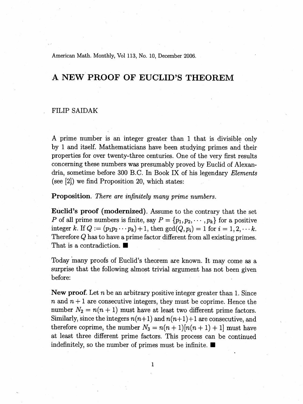American Math. Monthly, Vol 113, No. 10, December 2006.

## A NEW PROOF OF EUCLID'S THEOREM

## **FILIP SAIDAK**

A prime number is an integer greater than 1 that is divisible only by 1 and itself. Mathematicians have been studying primes and their properties for over twenty-three centuries. One of the very first results concerning these numbers was presumably proved by Euclid of Alexandria, sometime before 300 B.C. In Book IX of his legendary Elements (see  $[2]$ ) we find Proposition 20, which states:

**Proposition**. There are infinitely many prime numbers.

**Euclid's proof (modernized).** Assume to the contrary that the set P of all prime numbers is finite, say  $P = \{p_1, p_2, \dots, p_k\}$  for a positive integer k. If  $Q := (p_1 p_2 \cdots p_k) + 1$ , then  $gcd(Q, p_i) = 1$  for  $i = 1, 2, \cdots k$ . Therefore  $Q$  has to have a prime factor different from all existing primes. That is a contradiction.

Today many proofs of Euclid's theorem are known. It may come as a surprise that the following almost trivial argument has not been given before:

New proof. Let  $n$  be an arbitrary positive integer greater than 1. Since *n* and  $n+1$  are consecutive integers, they must be coprime. Hence the number  $N_2 = n(n + 1)$  must have at least two different prime factors. Similarly, since the integers  $n(n+1)$  and  $n(n+1)+1$  are consecutive, and therefore coprime, the number  $N_3 = n(n+1)[n(n+1)+1]$  must have at least three different prime factors. This process can be continued indefinitely, so the number of primes must be infinite.  $\blacksquare$ 

 $\mathbf{1}$